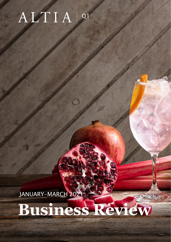## ALTIA | Q1

JANUARY-MARCH 2021

# **Business Review**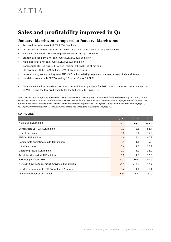## **Sales and profitability improved in Q1**

#### **January–March 2021 compared to January–March 2020**

- Reported net sales were EUR 71.7 (68.2) million
- In constant currencies, net sales increased by 3.1% in comparison to the previous year
- Net sales of Finland & Exports segment were EUR 23.0 (23.8) million
- Scandinavia segment's net sales were EUR 24.2 (22.0) million
- Altia Industrial's net sales were EUR 24.5 (22.4) million
- Comparable EBITDA was EUR 7.7 (5.5) million, 10.8% (8.1%) of net sales
- EBITDA was EUR 4.6 (5.4) million, 6.4% (8.0%) of net sales
- Items affecting comparability were EUR -3.2 million relating to planned merger between Altia and Arcus
- Net debt / comparable EBITDA (rolling 12 months) was 0.2 (1.1)
- Altia has decided to provide a short-term outlook but no guidance for 2021, due to the uncertainties caused by COVID-19 and the low predictability for the full year 2021, page 10.

This is not an interim report as specified in the IAS 34 standard. The company complies with half-yearly reporting, according to the Finnish Securities Markets Act and discloses business reviews for the first three- (Q1) and nine-month (Q3) periods of the year. The figures in the review are unaudited. Reconciliation of alternative key ratios to IFRS figures is presented in the appendix on page 13. For important information for U.S. shareholders, please see "Important Information" on page 12.

#### KEY FIGURES

|                                                      | Q1 21  | Q1 20   | 2020   |
|------------------------------------------------------|--------|---------|--------|
| Net sales, EUR million                               | 71.7   | 68.2    | 342.4  |
| Comparable EBITDA, EUR million                       | 7.7    | 5.5     | 52.4   |
| % of net sales                                       | 10.8   | 8.1     | 15.3   |
| EBITDA, EUR million                                  | 4.6    | 5.4     | 40.3   |
| Comparable operating result, EUR million             | 3.9    | 1.1     | 35.0   |
| % of net sales                                       | 5.4    | 1.6     | 10.2   |
| Operating result, EUR million                        | 0.7    | 1.0     | 22.9   |
| Result for the period, EUR million                   | 0.7    | 1.3     | 17.8   |
| Earnings per share, EUR                              | 0.02   | 0.04    | 0.49   |
| Net cash flow from operating activities, EUR million | $-0.3$ | $-15.4$ | 56.1   |
| Net debt / comparable EBITDA, rolling 12 months      | 0.2    | 1.1     | $-0.1$ |
| Average number of personnel                          | 640    | 642     | 650    |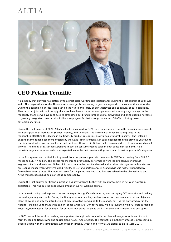

#### **CEO Pekka Tennilä:**

"I am happy that our year has gotten off to a great start. Our financial performance during the first quarter of 2021 was solid. The preparations for the Altia and Arcus merger is proceeding in good dialogue with the competition authorities. During the pandemic our focus has been on the health and safety of our employees and continuity of our operations. Thanks to our joint efforts in supply chain, we have been able to run our operations without any major delays. In the monopoly channels we have continued to strengthen our brands through digital activations and bring exciting novelties to growing categories. I want to thank all our employees for their strong and successful efforts during these extraordinary times.

During the first quarter of 2021, Altia's net sales increased by 5.1% from the previous year. In the Scandinavia segment, net sales grew in all markets, in Sweden, Norway, and Denmark. The growth was driven by strong sales in the monopolies offsetting the decline in on-trade. By product categories, growth was strongest in spirits. The Finland & Exports segment has been more affected by the Covid-19 restrictions. Net sales declined from the previous year due to the significant sales drop in travel retail and on-trade. However, in Finland, sales increased driven by monopoly channel growth. The timing of Easter had a positive impact on consumer goods sales in both consumer segments. Altia Industrial segment sales exceeded our expectations in the first quarter with growth in all industrial products' categories.

In the first quarter our profitability improved from the previous year with comparable EBITDA increasing from EUR 5.5 million to EUR 7.7 million. The drivers for the strong profitability performance were the two consumer product segments, i.e. Scandinavia and Finland & Exports, where the positive channel and product mix together with initiatives on revenue management delivered good results. The strong performance in Scandinavia was further supported by favourable currency rates. The reported result for the period was impacted by costs related to the planned Altia and Arcus merger, booked as items affecting comparability.

During the first quarter our financial position has strengthened further with an improvement in net cash flow from operations. This was due the good development of our net working capital.

In our sustainability roadmap, we have set the target for significantly reducing our packaging CO2 footprint and making our packages fully recyclable. During the first quarter our new bag-in-box production line was started at our Rajamäki plant, allowing not only the introduction of new innovative packaging to the market, but -as the only producer in the Nordics- enabling us to make wine bag-in-boxes which are 100% recyclable. We also launched wine PET bottles made of 100% recycled material, for example, for our Chill Out brand, again as the first in the Nordics within wine and spirits.

In 2021, we look forward to reaching an important strategic milestone with the planned merger of Altia and Arcus to form the leading Nordic wine and spirits brand house: Anora Group. The competition authority process is proceeding in good dialogue with the competition authorities in Finland, Sweden and Norway. As disclosed on 15 April 2021,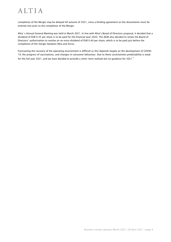completion of the Merger may be delayed till autumn of 2021, since a binding agreement on the divestments must be entered into prior to the completion of the Merger.

Altia´s Annual General Meeting was held in March 2021. In line with Altia's Board of Directors proposal, it decided that a dividend of EUR 0.35 per share is to be paid for the financial year 2020. The AGM also decided to renew the Board of Directors' authorisation to resolve on an extra dividend of EUR 0.40 per share, which is to be paid just before the completion of the merger between Altia and Arcus.

Forecasting the recovery of the operating environment is difficult as this depends largely on the development of COVID-19, the progress of vaccinations, and changes in consumer behaviour. Due to these uncertainties predictability is weak for the full year 2021, and we have decided to provide a short-term outlook but no guidance for 2021."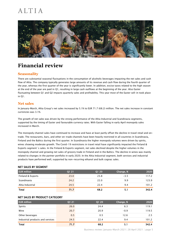

## **Financial review**

#### **Seasonality**

There are substantial seasonal fluctuations in the consumption of alcoholic beverages impacting the net sales and cash flow of Altia. The company typically generates large amounts of its revenue and cash flow during the fourth quarter of the year, whereas the first quarter of the year is significantly lower. In addition, excise taxes related to the high season at the end of the year are paid in Q1, resulting in large cash outflows at the beginning of the year. Also Easter fluctuating between Q1 and Q2 impacts quarterly sales and profitability. This year most of the Easter sell-in took place in Q1.

#### **Net sales**

In January–March, Altia Group's net sales increased by 5.1% to EUR 71.7 (68.2) million. The net sales increase in constant currencies was 3.1%.

The growth of net sales was driven by the strong performance of the Altia Industrial and Scandinavia segments, supported by the timing of Easter and favourable currency rates. With Easter falling in early April monopoly sales increased in March.

The monopoly channel sales have continued to increase and have at least partly offset the decline in travel retail and ontrade. The restaurants, bars, and other on-trade channels have been heavily restricted in all countries in Scandinavia, Finland and the Baltics during the first quarter. In Scandinavia the higher monopoly volumes were driven by spirits, wines showing moderate growth. The Covid-19 restrictions in travel retail have significantly impacted the Finland & Exports segment´s sales. In the Finland & Exports segment, net sales declined despite the higher volumes in the monopoly channel and growing net sales of grocery trade in Finland and in the Baltics. The decline in wines was mainly related to changes in the partner portfolio in early 2020. In the Altia Industrial segment, both services and industrial products have performed well, supported by non-recurring ethanol and bulk cognac sales.

#### NET SALES BY SEGMENT

| <b>EUR million</b> | Q1 21 | 01 20 | Change, % | 2020  |
|--------------------|-------|-------|-----------|-------|
| Finland & Exports  | 23.0  | 23.8  | $-3.5$    | 117.2 |
| Scandinavia        | 24.2  | 22.0  | 9.9       | 123.9 |
| Altia Industrial   | 24.5  | 22.4  | 9.4       | 101.2 |
| Total              | 71.7  | 68.2  | 5.1       | 342.4 |

#### NET SALES BY PRODUCT CATEGORY

| <b>EUR million</b>               | Q1 21 | Q1 20 | Change, % | 2020  |
|----------------------------------|-------|-------|-----------|-------|
| Spirits                          | 26.0  | 24.4  | 6.3       | 119.1 |
| Wine                             | 20.7  | 20.9  | $-0.9$    | 119.5 |
| Other beverages                  | 0.5   | 0.5   | 12.6      | 2.5   |
| Industrial products and services | 24.5  | 22.4  | 9.4       | 101.2 |
| <b>Total</b>                     | 71.7  | 68.2  | 5.1       | 342.4 |

Business review| January–March 2021| 28 April 2021 | page 5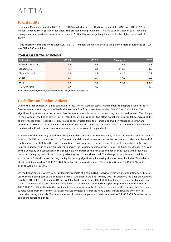#### **Profitability**

In January–March, comparable EBITDA, i.e. EBITDA excluding items affecting comparability (IAC), was EUR 7.7 (5.5) million, which is 10.8% (8.1%) of net sales. The profitability improvement is related to an increase in sales, revenue management and positive currency development. Profitability was negatively impacted by the higher price level of barley.

Items affecting comparability totalled EUR –3.2 (-0.1) million and were related to the planned merger. Reported EBITDA was EUR 4.6 (5.4) million.

| <b>EUR million</b> | Q1 21 | Q1 20  | Change, % | 2020 |
|--------------------|-------|--------|-----------|------|
| Finland & Exports  | 3.5   | 2.8    | 26.1      | 19.8 |
| Scandinavia        | 1.7   | $-0.1$ | 1340.3    | 14.2 |
| Altia Industrial   | 2.1   | 2.2    | $-1.5$    | 17.9 |
| Other              | 0.4   | 0.7    | $-47.5$   | 0.5  |
| <b>Total</b>       | 7.7   | 5.5    | 40.2      | 52.4 |
| % of net sales     | 10.8  | 8.1    |           | 15.3 |

#### COMPARABLE EBITDA BY SEGMENT

Items affecting comparability are presented in the appendix on page 13.

#### **Cash flow and balance sheet**

During the first quarter, Altia has continued to focus on net working capital management to support a solid net cash flow from operations. In January–March, the net cash flow from operations totalled EUR –0.3 (-15.4) million. The significant improvement in the net cash flow from operations is related to net working capital development. The change in the payment schedule of excise tax in Finland has a significant positive effect on net working capital by increasing the short term liabilities. Receivables sold, related to receivables from the Finnish and Swedish monopolies, grew and amounted to EUR 62.0 (54.6) million at the end of the period. The growth of receivables from the monopolies relates to the channel shift with more sales to monopolies since the start of the pandemic.

At the end of the reporting period, the Group's net debt amounted to EUR 9.4 (48.9) million and the reported net debt to comparable EBITDA ratio was 0.2 (1.1). The solid net debt development relates to the positive cash release at the end of the financial year 2020 together with the continued solid year-on-year development in the first quarter of 2021. Altia has continued to issue commercial papers to secure the liquidity position of the Group. The funds are deposited as cash by the Company and consequently the issues have no impact on the net debt and net gearing levels while they have impacted the equity ratio of the Group by affecting the balance sheet total. The change in the payment schedule of excise tax in Finland is also affecting the Equity ratio by significantly increasing the short term liabilities. The balance sheet total increased to EUR 437.0 (424.5) million at the reporting date. The equity ratio was 33.0% (34.7%) while gearing was 6.5% (33.2%).

On the financing side, Altia's back-up facilities consists of a committed revolving credit facility amounting to EUR 60.0 (60.0) million being part of the syndicated loan arrangement valid until January 2023. In addition, Altia has an overdraft facility of EUR 10.0 (10.0) million. Of the available back-up facilities, EUR 0.0 (0.0) million were used per balance sheet date. To manage short term liquidity needs Altia has an extensive commercial paper programme amounting to EUR 100.0 (100.0) million. Despite the significant changes in the supply of funds in the market, the company has been able to raise funds from the commercial paper market. Investor preferences have clearly shifted towards shorter term maturities during the crisis. The nominal value of commercial papers issued amounted to EUR 40.0 (55.0) million at the end of the reporting period.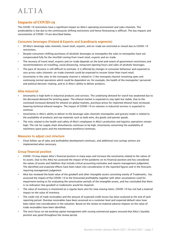#### **Impacts of COVID-19**

The COVID-19 restrictions have a significant impact on Altia's operating environment and sales channels. The predictability is low due to the continuously shifting restrictions and hence forecasting is difficult. The key impacts and uncertainties of COVID-19 are described below.

#### Consumer beverages (Finland & Exports and Scandinavia segments)

- Of Altia's beverage sales channels, travel retail, exports, and on-trade are restricted or closed due to COVID-19 restrictions.
- Despite consumers shifting purchases of alcoholic beverages to monopolies the sales to monopolies have not compensated fully for the shortfall coming from travel retail, exports and on-trade.
- The recovery of travel retail, exports and on-trade depends on the level and extent of government restrictions and recommendations on travelling, social distancing, restaurant opening hours and sales of alcoholic beverages.
- The pace of recovery is still difficult to estimate. It is affected by changes in consumer behaviour and expected to vary across sales channels: on-trade channels could be expected to recover faster than travel retail.
- Uncertainty in the sales to the monopoly channel is related to 1) the monopoly channel remaining open and continuing normal operations which could be dependent on, for example, the health of the monopolies' personnel and political decision-making, and to 2) Altia's ability to deliver products.

#### Altia Industrial

- Uncertainty is high both in industrial products and services. The underlying demand for starch has weakened due to the decreased demand for printing paper. The ethanol market is expected to stay tight but stable. Due to the continued increased demand for ethanol on global markets, purchase prices for imported ethanol have increased, lowering technical ethanol margins. The impact of COVID-19 on volumes in industrial services is expected to continue.
- Uncertainty in Altia's ability to deliver to the beverage sales channels (monopolies and grocery trade) is related to the availability of products and raw materials such as bulk wine, dry goods and partner goods.
- The risks related to the health and safety of Altia's employees in Altia's production and logistics operations remain high. The risk for supply chain disturbances continues to be high. Uncertainty concerning the availability of machinery spare parts and the maintenance workforce continues.

#### Measures to adjust cost structure

• Close follow-up of sales and profitability development continues, and additional cost savings actions are implemented when necessary.

#### Group financial position

- COVID-19 may impact Altia's financial position in many ways and increase the uncertainty related to the values of its assets. Due to this Altia has assessed the impact of the pandemic on its financial position and has considered the values of assets and liabilities that include critical accounting estimates and require management judgement. The identified and expected effects have been taken into consideration in the reported figures and in the forecasts requiring management judgement.
- Altia has reviewed the book value of the goodwill and other intangible assets consisting mainly of Trademarks, has assessed the impact of the COVID-19 to the forecasted profitability together with other assumptions used for impairment testing or for evaluating the amortisation periods of the intangible assets, and has concluded that there is no indication that goodwill or trademarks would be impaired.
- The value of inventory is monitored on a regular basis also for slow moving items. COVID-19 has not had a material impact on the value of inventory.
- The credit risk of trade receivables and the amount of expected credit losses has been analysed at the end of each reporting period. Overdue receivables have been assessed on a customer level and expected default rates have been taken into consideration in the valuation. Based on the review no material adverse impacts on the value of trade receivables have been identified.
- The strict focus on net working capital management with issuing commercial papers ensured that Altia's liquidity position was good throughout the review period.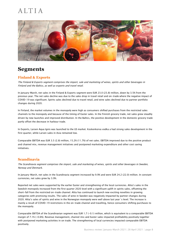

## **Segments**

#### **Finland & Exports**

The Finland & Exports segment comprises the import, sale and marketing of wines, spirits and other beverages in Finland and the Baltics, as well as exports and travel retail.

In January–March, net sales in the Finland & Exports segment were EUR 23.0 (23.8) million, down by 3.5% from the previous year. The net sales decline was due to the sales drop in travel retail and on-trade where the negative impact of COVID-19 was significant. Spirits sales declined due to travel retail, and wine sales declined due to partner portfolio changes during 2020.

In Finland, the market volumes in the monopoly were high as consumers shifted purchases from the restricted sales channels to the monopoly and because of the timing of Easter sales. In the Finnish grocery trade, net sales grew steadily driven by new launches and improved distribution. In the Baltics, the positive development in the domestic grocery trade partly offset the decrease in harbour trade.

In Exports, Larsen Aqua Ignis was launched to the US market. Koskenkorva vodka a had strong sales development in the first quarter, while Larsen sales in Asia remained low.

Comparable EBITDA was EUR 3.5 (2.8) million, 15.2% (11.7%) of net sales. EBITDA improved due to the positive product and channel mix, revenue management initiatives and postponed marketing expenditure and other cost saving initiatives.

#### **Scandinavia**

The Scandinavia segment comprises the import, sale and marketing of wines, spirits and other beverages in Sweden, Norway and Denmark.

In January-March, net sales in the Scandinavia segment increased by 9.9% and were EUR 24.2 (22.0) million. In constant currencies, net sales grew by 3.9%.

Reported net sales were supported by the earlier Easter and strengthening of the local currencies. Altia's sales in the Swedish monopoly increased from the first quarter 2020 level with a significant uplift in spirits sales, offsetting the short-fall from the restricted on-trade channel. Altia has continued to launch new exciting novelties in growing categories with promising results. The sales of wine in Sweden was negatively impacted by partner changes during 2020. Altia's sales of spirits and wine in the Norwegian monopoly were well above last year´s level. The increase is mainly a result of COVID-19 restrictions in the on-trade channel and travelling, hence consumers shifting purchases to the monopoly.

Comparable EBITDA of the Scandinavian segment was EUR 1.7 (-0.1) million, which is equivalent to a comparable EBITDA margin of 7.1% (-0.6%). Revenue management, channel mix and Easter sales impacted profitability positively together with postponed marketing activities in on trade. The strengthening of local currencies impacted comparable EBITDA positively.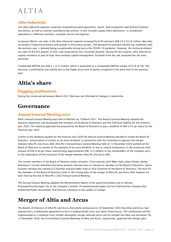#### **Altia Industrial**

The Altia Industrial segment comprises Koskenkorva plant operations, starch, feed component and technical ethanol businesses, as well as contract manufacturing services. It also includes supply chain operations, i.e. production operations in different countries, customer service and logistics.

In January-March, net sales in the Altia Industrial segment increased by 9.4% and were EUR 24.5 (22.4) million. Net sales increased in industrial products with growth in all product groups. The demand for technical ethanol has stabilised, with the previous year´s demand being exceptionally strong due to the COVID-19 pandemic. However, the technical ethanol net sales of the first quarter of 2021 was impacted by non-recurring demand. During the first quarter, Altia reduced its cognac inventory as part of long-term working capital management. Proceeds from the sale impacted the net sales positively.

Comparable EBITDA was EUR 2.1 (2.2) million, which is equivalent to a comparable EBITDA margin of 8.7% (9.7%). The decrease in profitability was mainly due to the higher price level of barley compared to the price level in the previous year.

## **Altia's share**

#### **Flagging notifications**

During the review period January–March 2021 Altia was not informed of changes in ownership.

## **Governance**

#### **Annual General Meeting 2021**

Altia's Annual General Meeting was held in Helsinki on 19 March 2021. The Annual General Meeting adopted the financial statements and discharged the members of the Board of Directors and the CEO from liability for the financial year 2020. The meeting approved the proposal by the Board of Directors to pay a dividend of EUR 0.35 per share for the financial year 2020.

Further to the dividend payable for the financial year 2020 the Annual General Meeting decided to renew the Board of Directors' authorisation to resolve on an extra dividend. In connection with the resolution to approve the merger between Altia Plc and Arcus ASA, Altia Plc's Extraordinary General Meeting held on 12 November 2020 authorised the Board of Directors to resolve on the payment of an extra dividend, in one or several instalments, in the maximum total amount of EUR 0.40 per share (representing approximately EUR 14.5 million) to the shareholders of the company prior to the registration of the execution of the merger between Altia Plc and Arcus ASA.

The current members of the Board of Directors Jukka Leinonen, Tiina Lencioni, Jyrki Mäki-Kala, Jukka Ohtola, Anette Rosengren, Torsten Steenholt and Sanna Suvanto-Harsaae were re-elected as members of the Board of Directors. Sanna Suvanto-Harsaae was elected as Chairman and Jyrki Mäki-Kala as Vice Chairman of the Board of Directors. The term for the members of the Board of Directors ends on the closing date of the merger of Altia Plc and Arcus ASA, however no later than by the end of Altia Plc's 2022 Annual General Meeting.

The Annual General Meeting adopted the Remuneration Report of the governing bodies and re-elected PricewaterhouseCoopers Oy as the company's auditor. PricewaterhouseCoopers Oy has informed the company that Authorised Public Accountant Ylva Eriksson continues as the auditor in charge.

## **Merger of Altia and Arcus**

The Boards of Directors of Altia Plc and Arcus ASA jointly announced on 29 September 2020 that Altia and Arcus had entered into a combination agreement to form a leading Nordic wine and spirits brand house. The combination will be implemented as a statutory cross-border absorption merger whereby Arcus will be merged into Altia and dissolved. On 12 November 2020, the Extraordinary General Meetings of Altia and Arcus, respectively, approved the merger plan.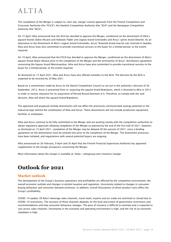The completion of the Merger is subject to, inter alia, merger control approvals from the Finnish Competition and Consumer Authority (the "FCCA"), the Swedish Competition Authority (the "SCA") and the Norwegian Competition Authority (the "NCA").

On 15 April, Altia announced that the SCA has decided to approve the Merger, conditional on the divestment of Altia's aquavit brands Skåne Akvavit and Hallands Fläder and cognac brand Grönstedts and Arcus' spirits brand Dworek. As an alternative to the divestment of Altia's cognac brand Grönstedts, Arcus' Braastad brand may be sub-licensed in Sweden. Altia and Arcus have also committed to provide transitional services to the buyer for a limited period, to the extent required.

On 19 April, Altia announced that the FCCA has decided to approve the Merger, conditional on the divestment of Altia's aquavit brand Skåne Akvavit prior to the completion of the Merger and the termination of Arcus' distribution agreement concerning the liqueur brand Metsmaasikas. Altia and Arcus have also committed to provide transitional services to the buyer for a limited period, to the extent required.

As disclosed on 15 April 2021, Altia and Arcus have also offered remedies to the NCA. The decision by the NCA is expected to be received by 20 May 2021.

Based on a commitment made by Arcus to the Danish Competition Council as set out in the authority's decision of 26 September, 2012, Arcus is prevented from re-acquiring the aquavit brand Brøndums, which it divested to Altia in 2013 in order to receive clearance for its acquisition of Pernod Ricard Denmark A/S. Therefore, to comply with the said decision, Altia will divest the aquavit brand Brøndums.

The approved and proposed remedy divestments will not affect the previously communicated synergy potential or the industrial logic behind the combination of Altia and Arcus. These divestments will not include production equipment, facilities or employees.

Altia and Arcus continue to be fully committed to the Merger and are working closely with the competition authorities to obtain regulatory approvals allowing completion of the Merger as planned by the end of the first half of 2021. However, as disclosed on 15 April 2021, completion of the Merger may be delayed till the autumn of 2021, since a binding agreement on the divestments must be entered into prior to the completion of the Merger. The divestment processes have been initiated, and negotiations with several potential buyers are ongoing.

Altia announced on 26 February, 9 April and 20 April that the Finnish Financial Supervisory Authority has approved supplements to the merger prospectus concerning the Merger.

More information about the merger is available at:<https://altiagroup.com/investors/merger>

## **Outlook for 2021**

#### **Market outlook**

The development of the Group's business operations and profitability are affected by the competitive environment, the overall economic outlook and changes in alcohol taxation and regulation. Uncertainty related to changes in consumer buying behaviour and consumer demand continues. In addition, overall fluctuations of direct product costs affect the Group's profitability.

COVID-19 update: Of Altia's beverage sales channels, travel retail, exports and on-trade are restricted or closed due to COVID-19 restrictions. The recovery of these channels depends on the level and extent of government restrictions and recommendations and how consumer behaviour changes. The pace of recovery is difficult to estimate and is expected to vary across sales channels. Uncertainty in the economy and operating environment is high, and the risk of an economic slowdown is high.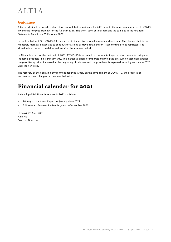#### **Guidance**

Altia has decided to provide a short-term outlook but no guidance for 2021, due to the uncertainties caused by COVID-19 and the low predictability for the full year 2021. The short-term outlook remains the same as in the Financial Statements Bulletin on 25 February 2021.

In the first half of 2021, COVID-19 is expected to impact travel retail, exports and on-trade. The channel shift in the monopoly markets is expected to continue for as long as travel retail and on-trade continue to be restricted. The situation is expected to stabilise earliest after the summer period.

In Altia Industrial, for the first half of 2021, COVID-19 is expected to continue to impact contract manufacturing and industrial products in a significant way. The increased prices of imported ethanol puts pressure on technical ethanol margins. Barley prices increased at the beginning of this year and the price level is expected to be higher than in 2020 until the new crop.

The recovery of the operating environment depends largely on the development of COVID-19, the progress of vaccinations, and changes in consumer behaviour.

## **Financial calendar for 2021**

Altia will publish financial reports in 2021 as follows:

- 18 August: Half-Year Report for January-June 2021
- 3 November: Business Review for January-September 2021

Helsinki, 28 April 2021 Altia Plc Board of Directors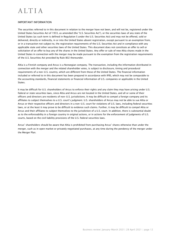#### IMPORTANT INFORMATION

The securities referred to in this document in relation to the merger have not been, and will not be, registered under the United States Securities Act of 1933, as amended (the "U.S. Securities Act"), or the securities laws of any state of the United States (as such term is defined in Regulation S under the U.S. Securities Act) and may not be offered, sold or delivered, directly or indirectly, in or into the United States absent registration, except pursuant to an exemption from, or in a transaction not subject to, the registration requirements of the U.S. Securities Act and in compliance with any applicable state and other securities laws of the United States. This document does not constitute an offer to sell or solicitation of an offer to buy any of the shares in the United States. Any offer or sale of new Altia shares made in the United States in connection with the merger may be made pursuant to the exemption from the registration requirements of the U.S. Securities Act provided by Rule 802 thereunder.

Altia is a Finnish company and Arcus is a Norwegian company. The transaction, including the information distributed in connection with the merger and the related shareholder votes, is subject to disclosure, timing and procedural requirements of a non-U.S. country, which are different from those of the United States. The financial information included or referred to in this document has been prepared in accordance with IFRS, which may not be comparable to the accounting standards, financial statements or financial information of U.S. companies or applicable in the United States.

It may be difficult for U.S. shareholders of Arcus to enforce their rights and any claim they may have arising under U.S. federal or state securities laws, since Altia and Arcus are not located in the United States, and all or some of their officers and directors are residents of non-U.S. jurisdictions. It may be difficult to compel a foreign company and its affiliates to subject themselves to a U.S. court's judgment. U.S. shareholders of Arcus may not be able to sue Altia or Arcus or their respective officers and directors in a non-U.S. court for violations of U.S. laws, including federal securities laws, or at the least it may prove to be difficult to evidence such claims. Further, it may be difficult to compel Altia or Arcus and their affiliates to subject themselves to the jurisdiction of a U.S. court. In addition, there is substantial doubt as to the enforceability in a foreign country in original actions, or in actions for the enforcement of judgments of U.S. courts, based on the civil liability provisions of the U.S. federal securities laws.

Arcus' shareholders should be aware that Altia is prohibited from purchasing Arcus' shares otherwise than under the merger, such as in open market or privately negotiated purchases, at any time during the pendency of the merger under the Merger Plan.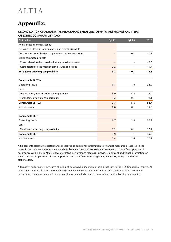## **Appendix:**

#### RECONCILIATION OF ALTERNATIVE PERFORMANCE MEASURES (APM) TO IFRS FIGURES AND ITEMS AFFECTING COMPARABILITY (IAC)

| <b>EUR million</b>                                         | Q1 21                    | Q1 20  | 2020    |
|------------------------------------------------------------|--------------------------|--------|---------|
| Items affecting comparability                              |                          |        |         |
| Net gains or losses from business and assets disposals     | $\qquad \qquad -$        |        |         |
| Cost for closure of business operations and restructurings |                          | $-0.1$ | $-0.3$  |
| Major corporate projects                                   |                          |        |         |
| Costs related to the closed voluntary pension scheme       | $\overline{\phantom{m}}$ |        | $-0.5$  |
| Costs related to the merger plan of Altia and Arcus        | $-3.2$                   |        | $-11.4$ |
| Total items affecting comparability                        | $-3.2$                   | $-0.1$ | $-12.1$ |
|                                                            |                          |        |         |
| <b>Comparable EBITDA</b>                                   |                          |        |         |
| Operating result                                           | 0.7                      | 1.0    | 22.9    |
| Less:                                                      |                          |        |         |
| Depreciation, amortisation and impairment                  | 3.9                      | 4.4    | 17.4    |
| Total items affecting comparability                        | 3.2                      | 0.1    | 12.1    |
| <b>Comparable EBITDA</b>                                   | 7.7                      | 5.5    | 52.4    |
| % of net sales                                             | 10.8                     | 8.1    | 15.3    |
|                                                            |                          |        |         |
| <b>Comparable EBIT</b>                                     |                          |        |         |
| Operating result                                           | 0.7                      | 1.0    | 22.9    |
| Less:                                                      |                          |        |         |
| Total items affecting comparability                        | 3.2                      | 0.1    | 12.1    |
| <b>Comparable EBIT</b>                                     | 3.9                      | 1.1    | 35.0    |
| % of net sales                                             | 5.4                      | 1.6    | 10.2    |

Altia presents alternative performance measures as additional information to financial measures presented in the consolidated income statement, consolidated balance sheet and consolidated statement of cash flows prepared in accordance with IFRS. In Altia's view, alternative performance measures provide significant additional information on Altia's results of operations, financial position and cash flows to management, investors, analysts and other stakeholders.

Alternative performance measures should not be viewed in isolation or as a substitute to the IFRS financial measures. All companies do not calculate alternative performance measures in a uniform way, and therefore Altia's alternative performance measures may not be comparable with similarly named measures presented by other companies.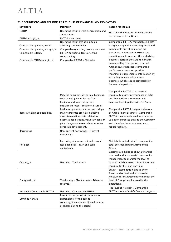| Key figure                                                                         | <b>Definition</b>                                                                                                                                                                                                                    | Reason for the use                                                                                                                                                                                                                                                                                                                            |
|------------------------------------------------------------------------------------|--------------------------------------------------------------------------------------------------------------------------------------------------------------------------------------------------------------------------------------|-----------------------------------------------------------------------------------------------------------------------------------------------------------------------------------------------------------------------------------------------------------------------------------------------------------------------------------------------|
| <b>EBITDA</b>                                                                      | Operating result before depreciation and                                                                                                                                                                                             | <b>EBITDA</b> is the indicator to measure the                                                                                                                                                                                                                                                                                                 |
|                                                                                    | amortisation                                                                                                                                                                                                                         | performance of the Group.                                                                                                                                                                                                                                                                                                                     |
| EBITDA margin, %                                                                   | EBITDA / Net sales                                                                                                                                                                                                                   |                                                                                                                                                                                                                                                                                                                                               |
| Comparable operating result<br>Comparable operating margin, %<br>Comparable EBITDA | Operating result excluding items<br>affecting comparability<br>Comparable operating result / Net sales<br>EBITDA excluding items affecting                                                                                           | Comparable EBITDA, comparable EBITDA<br>margin, comparable operating result and<br>comparable operating margin are<br>presented in addition to EBITDA and                                                                                                                                                                                     |
| Comparable EBITDA margin, %                                                        | comparability<br>Comparable EBITDA / Net sales                                                                                                                                                                                       | operating result to reflect the underlying<br>business performance and to enhance<br>comparability from period to period.<br>Altia believes that these comparable<br>performance measures provide<br>meaningful supplemental information by<br>excluding items outside normal<br>business, which reduce comparability<br>between the periods. |
|                                                                                    | Material items outside normal business,<br>such as net gains or losses from<br>business and assets disposals,<br>impairment losses, cost for closure of                                                                              | Comparable EBITDA is an internal<br>measure to assess performance of Altia<br>and key performance measure at<br>segment level together with Net Sales.                                                                                                                                                                                        |
| Items affecting comparability                                                      | business operations and restructurings,<br>major corporate projects including<br>direct transaction costs related to<br>business acquisitions, voluntary pension<br>plan change and costs related to other<br>corporate development. | Comparable EBITDA margin is also one<br>of Altia's financial targets. Comparable<br>EBITDA is commonly used as a base for<br>valuation purposes outside the Company<br>and therefore important measure to<br>report regularly.                                                                                                                |
| Borrowings                                                                         | Non-current borrowings + Current<br>borrowings                                                                                                                                                                                       |                                                                                                                                                                                                                                                                                                                                               |
| Net debt                                                                           | Borrowings+non-current and current<br>lease liabilities - cash and cash<br>equivalents                                                                                                                                               | Net debt is an indicator to measure the<br>total external debt financing of the<br>Group.                                                                                                                                                                                                                                                     |
| Gearing, %                                                                         | Net debt / Total equity                                                                                                                                                                                                              | Gearing ratio helps to show a financial<br>risk level and it is a useful measure for<br>management to monitor the level of<br>Group's indebtedness. It is an important<br>measure for the loan portfolio.                                                                                                                                     |
| Equity ratio, %                                                                    | Total equity / (Total assets - Advances                                                                                                                                                                                              | Equity / assets ratio helps to show<br>financial risk level and it is a useful<br>measure for management to monitor the<br>level of Group's capital used in the                                                                                                                                                                               |
|                                                                                    | received)                                                                                                                                                                                                                            | operations.                                                                                                                                                                                                                                                                                                                                   |
| Net debt / Comparable EBITDA                                                       | Net debt / Comparable EBITDA                                                                                                                                                                                                         | The level of Net debt / Comparable<br>EBITDA is one of Altia's financial targets.                                                                                                                                                                                                                                                             |
| Earnings / share                                                                   | Result for the period attributable to<br>shareholders of the parent<br>company/Share-issue adjusted number                                                                                                                           |                                                                                                                                                                                                                                                                                                                                               |
|                                                                                    | of shares during the period                                                                                                                                                                                                          |                                                                                                                                                                                                                                                                                                                                               |

#### THE DEFINITIONS AND REASONS FOR THE USE OF FINANCIAL KEY INDICATORS